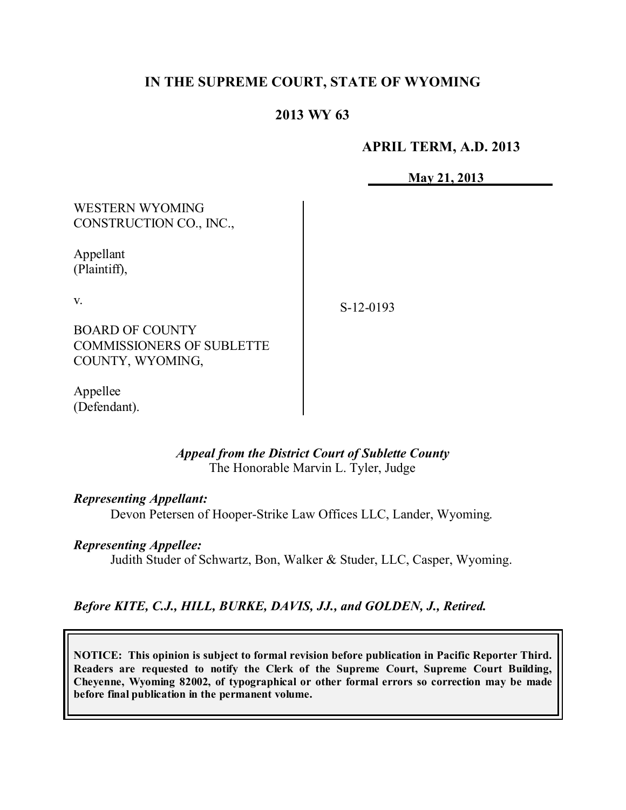# **IN THE SUPREME COURT, STATE OF WYOMING**

# **2013 WY 63**

## **APRIL TERM, A.D. 2013**

**May 21, 2013**

WESTERN WYOMING CONSTRUCTION CO., INC.,

Appellant (Plaintiff),

v.

S-12-0193

BOARD OF COUNTY COMMISSIONERS OF SUBLETTE COUNTY, WYOMING,

Appellee (Defendant).

## *Appeal from the District Court of Sublette County* The Honorable Marvin L. Tyler, Judge

*Representing Appellant:*

Devon Petersen of Hooper-Strike Law Offices LLC, Lander, Wyoming.

## *Representing Appellee:*

Judith Studer of Schwartz, Bon, Walker & Studer, LLC, Casper, Wyoming.

## *Before KITE, C.J., HILL, BURKE, DAVIS, JJ., and GOLDEN, J., Retired.*

**NOTICE: This opinion is subject to formal revision before publication in Pacific Reporter Third. Readers are requested to notify the Clerk of the Supreme Court, Supreme Court Building, Cheyenne, Wyoming 82002, of typographical or other formal errors so correction may be made before final publication in the permanent volume.**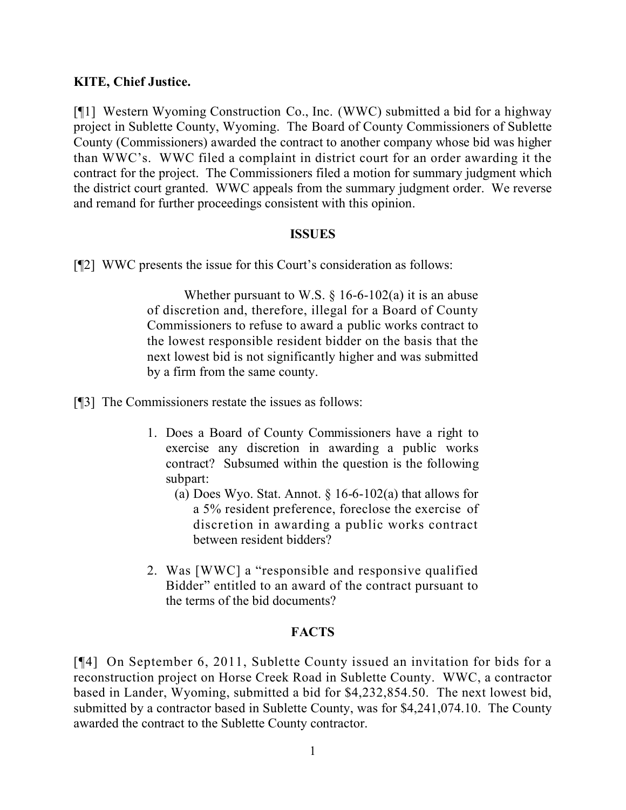## **KITE, Chief Justice.**

[¶1] Western Wyoming Construction Co., Inc. (WWC) submitted a bid for a highway project in Sublette County, Wyoming. The Board of County Commissioners of Sublette County (Commissioners) awarded the contract to another company whose bid was higher than WWC's. WWC filed a complaint in district court for an order awarding it the contract for the project. The Commissioners filed a motion for summary judgment which the district court granted. WWC appeals from the summary judgment order. We reverse and remand for further proceedings consistent with this opinion.

## **ISSUES**

[¶2] WWC presents the issue for this Court's consideration as follows:

Whether pursuant to W.S.  $\S$  16-6-102(a) it is an abuse of discretion and, therefore, illegal for a Board of County Commissioners to refuse to award a public works contract to the lowest responsible resident bidder on the basis that the next lowest bid is not significantly higher and was submitted by a firm from the same county.

[¶3] The Commissioners restate the issues as follows:

- 1. Does a Board of County Commissioners have a right to exercise any discretion in awarding a public works contract? Subsumed within the question is the following subpart:
	- (a) Does Wyo. Stat. Annot.  $\S 16-6-102(a)$  that allows for a 5% resident preference, foreclose the exercise of discretion in awarding a public works contract between resident bidders?
- 2. Was [WWC] a "responsible and responsive qualified Bidder" entitled to an award of the contract pursuant to the terms of the bid documents?

## **FACTS**

[¶4] On September 6, 2011, Sublette County issued an invitation for bids for a reconstruction project on Horse Creek Road in Sublette County. WWC, a contractor based in Lander, Wyoming, submitted a bid for \$4,232,854.50. The next lowest bid, submitted by a contractor based in Sublette County, was for \$4,241,074.10. The County awarded the contract to the Sublette County contractor.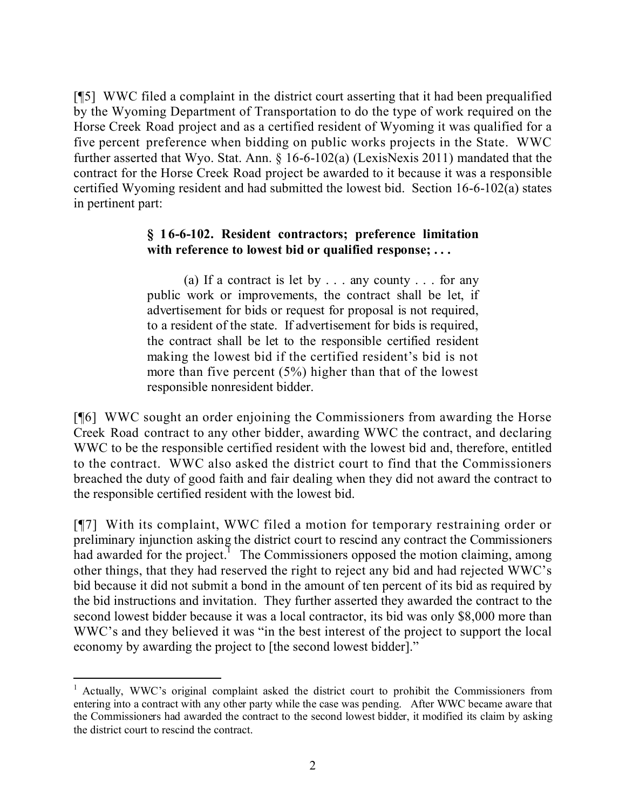[¶5] WWC filed a complaint in the district court asserting that it had been prequalified by the Wyoming Department of Transportation to do the type of work required on the Horse Creek Road project and as a certified resident of Wyoming it was qualified for a five percent preference when bidding on public works projects in the State. WWC further asserted that Wyo. Stat. Ann. § 16-6-102(a) (LexisNexis 2011) mandated that the contract for the Horse Creek Road project be awarded to it because it was a responsible certified Wyoming resident and had submitted the lowest bid. Section 16-6-102(a) states in pertinent part:

# **§ 16-6-102. Resident contractors; preference limitation with reference to lowest bid or qualified response; . . .**

(a) If a contract is let by . . . any county . . . for any public work or improvements, the contract shall be let, if advertisement for bids or request for proposal is not required, to a resident of the state. If advertisement for bids is required, the contract shall be let to the responsible certified resident making the lowest bid if the certified resident's bid is not more than five percent (5%) higher than that of the lowest responsible nonresident bidder.

[¶6] WWC sought an order enjoining the Commissioners from awarding the Horse Creek Road contract to any other bidder, awarding WWC the contract, and declaring WWC to be the responsible certified resident with the lowest bid and, therefore, entitled to the contract. WWC also asked the district court to find that the Commissioners breached the duty of good faith and fair dealing when they did not award the contract to the responsible certified resident with the lowest bid.

[¶7] With its complaint, WWC filed a motion for temporary restraining order or preliminary injunction asking the district court to rescind any contract the Commissioners had awarded for the project.<sup>1</sup> The Commissioners opposed the motion claiming, among other things, that they had reserved the right to reject any bid and had rejected WWC's bid because it did not submit a bond in the amount of ten percent of its bid as required by the bid instructions and invitation. They further asserted they awarded the contract to the second lowest bidder because it was a local contractor, its bid was only \$8,000 more than WWC's and they believed it was "in the best interest of the project to support the local economy by awarding the project to [the second lowest bidder]."

 $\overline{a}$ 

<sup>&</sup>lt;sup>1</sup> Actually, WWC's original complaint asked the district court to prohibit the Commissioners from entering into a contract with any other party while the case was pending. After WWC became aware that the Commissioners had awarded the contract to the second lowest bidder, it modified its claim by asking the district court to rescind the contract.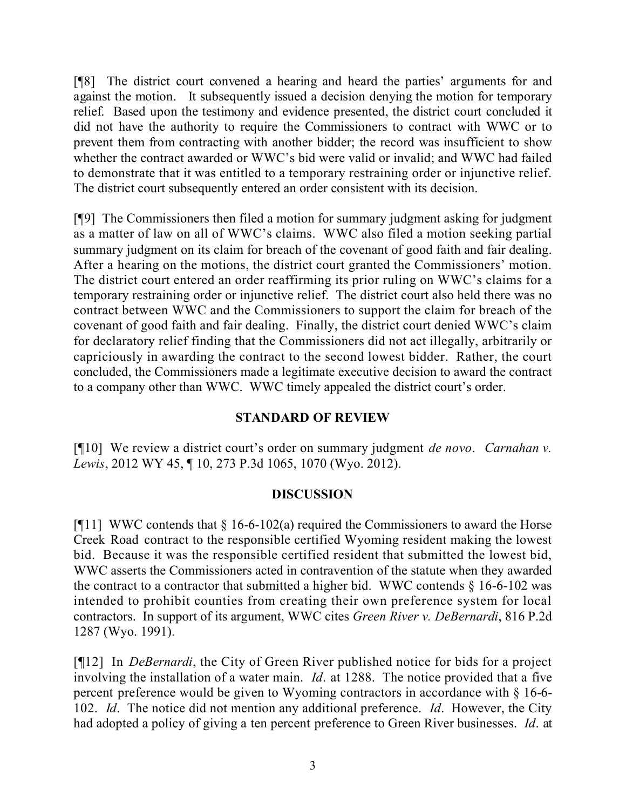[¶8] The district court convened a hearing and heard the parties' arguments for and against the motion. It subsequently issued a decision denying the motion for temporary relief. Based upon the testimony and evidence presented, the district court concluded it did not have the authority to require the Commissioners to contract with WWC or to prevent them from contracting with another bidder; the record was insufficient to show whether the contract awarded or WWC's bid were valid or invalid; and WWC had failed to demonstrate that it was entitled to a temporary restraining order or injunctive relief. The district court subsequently entered an order consistent with its decision.

[¶9] The Commissioners then filed a motion for summary judgment asking for judgment as a matter of law on all of WWC's claims. WWC also filed a motion seeking partial summary judgment on its claim for breach of the covenant of good faith and fair dealing. After a hearing on the motions, the district court granted the Commissioners' motion. The district court entered an order reaffirming its prior ruling on WWC's claims for a temporary restraining order or injunctive relief. The district court also held there was no contract between WWC and the Commissioners to support the claim for breach of the covenant of good faith and fair dealing. Finally, the district court denied WWC's claim for declaratory relief finding that the Commissioners did not act illegally, arbitrarily or capriciously in awarding the contract to the second lowest bidder. Rather, the court concluded, the Commissioners made a legitimate executive decision to award the contract to a company other than WWC. WWC timely appealed the district court's order.

## **STANDARD OF REVIEW**

[¶10] We review a district court's order on summary judgment *de novo*. *Carnahan v. Lewis*, 2012 WY 45, ¶ 10, 273 P.3d 1065, 1070 (Wyo. 2012).

## **DISCUSSION**

[ $[11]$ ] WWC contends that  $\S$  16-6-102(a) required the Commissioners to award the Horse Creek Road contract to the responsible certified Wyoming resident making the lowest bid. Because it was the responsible certified resident that submitted the lowest bid, WWC asserts the Commissioners acted in contravention of the statute when they awarded the contract to a contractor that submitted a higher bid. WWC contends  $\S$  16-6-102 was intended to prohibit counties from creating their own preference system for local contractors. In support of its argument, WWC cites *Green River v. DeBernardi*, 816 P.2d 1287 (Wyo. 1991).

[¶12] In *DeBernardi*, the City of Green River published notice for bids for a project involving the installation of a water main. *Id*. at 1288. The notice provided that a five percent preference would be given to Wyoming contractors in accordance with § 16-6- 102. *Id*. The notice did not mention any additional preference. *Id*. However, the City had adopted a policy of giving a ten percent preference to Green River businesses. *Id*. at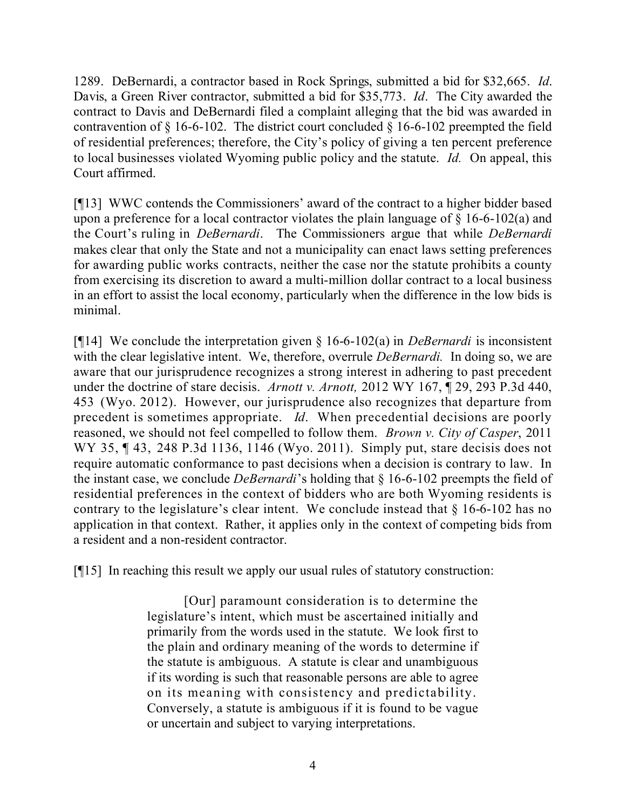1289. DeBernardi, a contractor based in Rock Springs, submitted a bid for \$32,665. *Id*. Davis, a Green River contractor, submitted a bid for \$35,773. *Id*. The City awarded the contract to Davis and DeBernardi filed a complaint alleging that the bid was awarded in contravention of  $\S$  16-6-102. The district court concluded  $\S$  16-6-102 preempted the field of residential preferences; therefore, the City's policy of giving a ten percent preference to local businesses violated Wyoming public policy and the statute. *Id.* On appeal, this Court affirmed.

[¶13] WWC contends the Commissioners' award of the contract to a higher bidder based upon a preference for a local contractor violates the plain language of  $\S$  16-6-102(a) and the Court's ruling in *DeBernardi*. The Commissioners argue that while *DeBernardi* makes clear that only the State and not a municipality can enact laws setting preferences for awarding public works contracts, neither the case nor the statute prohibits a county from exercising its discretion to award a multi-million dollar contract to a local business in an effort to assist the local economy, particularly when the difference in the low bids is minimal.

[¶14] We conclude the interpretation given § 16-6-102(a) in *DeBernardi* is inconsistent with the clear legislative intent. We, therefore, overrule *DeBernardi.* In doing so, we are aware that our jurisprudence recognizes a strong interest in adhering to past precedent under the doctrine of stare decisis. *Arnott v. Arnott,* 2012 WY 167, ¶ 29, 293 P.3d 440, 453 (Wyo. 2012). However, our jurisprudence also recognizes that departure from precedent is sometimes appropriate. *Id*. When precedential decisions are poorly reasoned, we should not feel compelled to follow them. *Brown v. City of Casper*, 2011 WY 35, ¶ 43, 248 P.3d 1136, 1146 (Wyo. 2011). Simply put, stare decisis does not require automatic conformance to past decisions when a decision is contrary to law. In the instant case, we conclude *DeBernardi*'s holding that § 16-6-102 preempts the field of residential preferences in the context of bidders who are both Wyoming residents is contrary to the legislature's clear intent. We conclude instead that § 16-6-102 has no application in that context. Rather, it applies only in the context of competing bids from a resident and a non-resident contractor.

[¶15] In reaching this result we apply our usual rules of statutory construction:

[Our] paramount consideration is to determine the legislature's intent, which must be ascertained initially and primarily from the words used in the statute. We look first to the plain and ordinary meaning of the words to determine if the statute is ambiguous. A statute is clear and unambiguous if its wording is such that reasonable persons are able to agree on its meaning with consistency and predictability. Conversely, a statute is ambiguous if it is found to be vague or uncertain and subject to varying interpretations.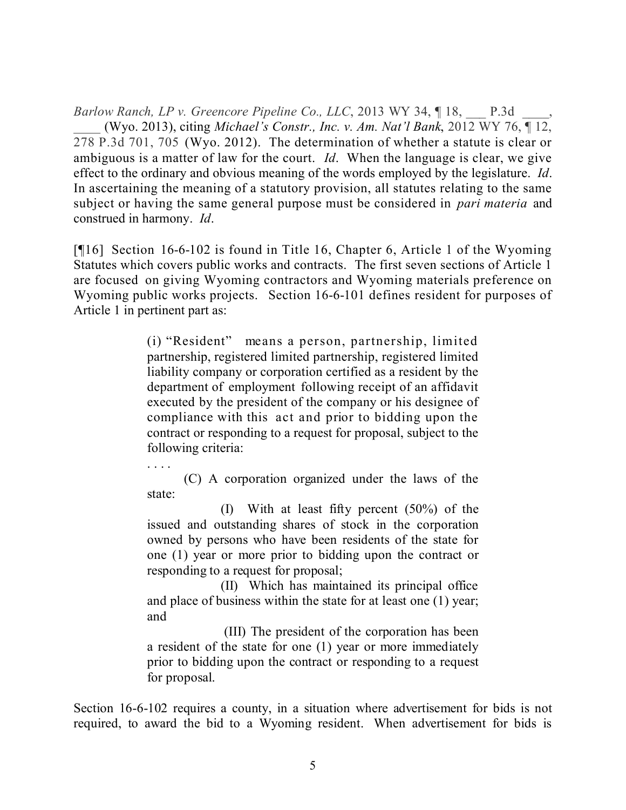*Barlow Ranch, LP v. Greencore Pipeline Co., LLC*, 2013 WY 34, ¶ 18, \_\_\_ P.3d \_\_\_\_, \_\_\_\_ (Wyo. 2013), citing *Michael's Constr., Inc. v. Am. Nat'l Bank*, 2012 WY 76, ¶ 12, 278 P.3d 701, 705 (Wyo. 2012). The determination of whether a statute is clear or ambiguous is a matter of law for the court. *Id*. When the language is clear, we give effect to the ordinary and obvious meaning of the words employed by the legislature. *Id*. In ascertaining the meaning of a statutory provision, all statutes relating to the same subject or having the same general purpose must be considered in *pari materia* and construed in harmony. *Id*.

[¶16] Section 16-6-102 is found in Title 16, Chapter 6, Article 1 of the Wyoming Statutes which covers public works and contracts. The first seven sections of Article 1 are focused on giving Wyoming contractors and Wyoming materials preference on Wyoming public works projects. Section 16-6-101 defines resident for purposes of Article 1 in pertinent part as:

> (i) "Resident" means a person, partnership, limited partnership, registered limited partnership, registered limited liability company or corporation certified as a resident by the department of employment following receipt of an affidavit executed by the president of the company or his designee of compliance with this act and prior to bidding upon the contract or responding to a request for proposal, subject to the following criteria:

> (C) A corporation organized under the laws of the state:

> (I) With at least fifty percent (50%) of the issued and outstanding shares of stock in the corporation owned by persons who have been residents of the state for one (1) year or more prior to bidding upon the contract or responding to a request for proposal;

> (II) Which has maintained its principal office and place of business within the state for at least one (1) year; and

> (III) The president of the corporation has been a resident of the state for one (1) year or more immediately prior to bidding upon the contract or responding to a request for proposal.

Section 16-6-102 requires a county, in a situation where advertisement for bids is not required, to award the bid to a Wyoming resident. When advertisement for bids is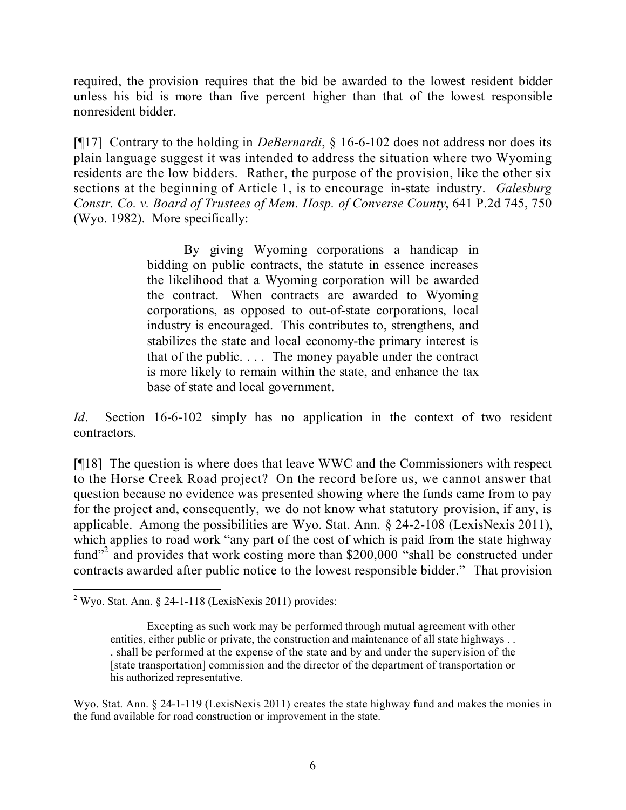required, the provision requires that the bid be awarded to the lowest resident bidder unless his bid is more than five percent higher than that of the lowest responsible nonresident bidder.

[¶17] Contrary to the holding in *DeBernardi*, § 16-6-102 does not address nor does its plain language suggest it was intended to address the situation where two Wyoming residents are the low bidders. Rather, the purpose of the provision, like the other six sections at the beginning of Article 1, is to encourage in-state industry. *Galesburg Constr. Co. v. Board of Trustees of Mem. Hosp. of Converse County*, 641 P.2d 745, 750 (Wyo. 1982). More specifically:

> By giving Wyoming corporations a handicap in bidding on public contracts, the statute in essence increases the likelihood that a Wyoming corporation will be awarded the contract. When contracts are awarded to Wyoming corporations, as opposed to out-of-state corporations, local industry is encouraged. This contributes to, strengthens, and stabilizes the state and local economy-the primary interest is that of the public. . . . The money payable under the contract is more likely to remain within the state, and enhance the tax base of state and local government.

*Id*. Section 16-6-102 simply has no application in the context of two resident contractors.

[¶18] The question is where does that leave WWC and the Commissioners with respect to the Horse Creek Road project? On the record before us, we cannot answer that question because no evidence was presented showing where the funds came from to pay for the project and, consequently, we do not know what statutory provision, if any, is applicable. Among the possibilities are Wyo. Stat. Ann. § 24-2-108 (LexisNexis 2011), which applies to road work "any part of the cost of which is paid from the state highway fund"<sup>2</sup> and provides that work costing more than \$200,000 "shall be constructed under contracts awarded after public notice to the lowest responsible bidder." That provision

Wyo. Stat. Ann. § 24-1-119 (LexisNexis 2011) creates the state highway fund and makes the monies in the fund available for road construction or improvement in the state.

 $\overline{a}$  $2$  Wyo. Stat. Ann. § 24-1-118 (LexisNexis 2011) provides:

Excepting as such work may be performed through mutual agreement with other entities, either public or private, the construction and maintenance of all state highways . . . shall be performed at the expense of the state and by and under the supervision of the [state transportation] commission and the director of the department of transportation or his authorized representative.